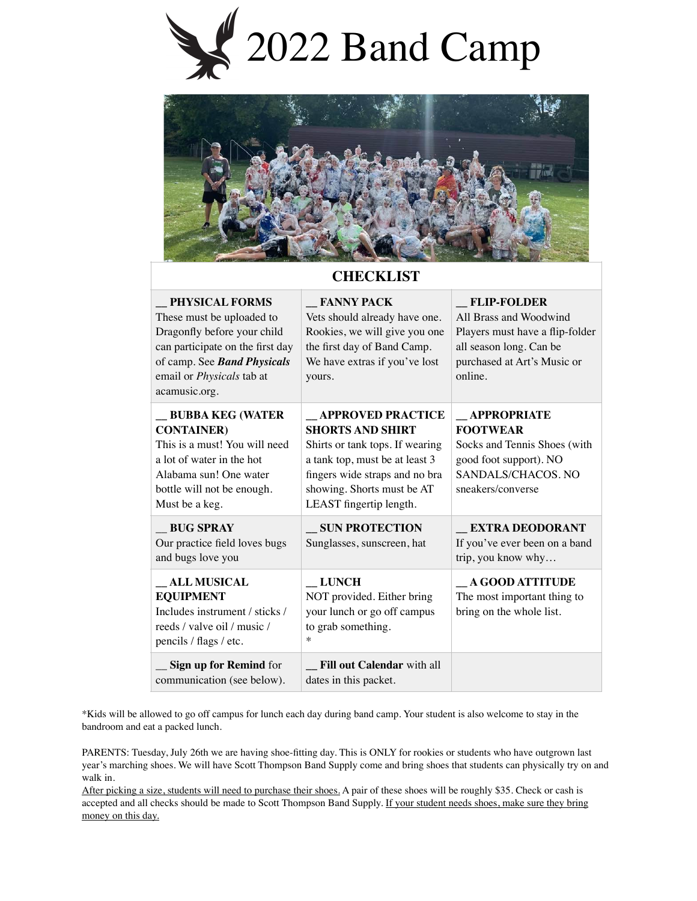



#### **CHECKLIST**

| PHYSICAL FORMS<br>These must be uploaded to<br>Dragonfly before your child<br>can participate on the first day<br>of camp. See Band Physicals<br>email or Physicals tab at<br>acamusic.org. | <b>FANNY PACK</b><br>Vets should already have one.<br>Rookies, we will give you one<br>the first day of Band Camp.<br>We have extras if you've lost<br>yours.                                                          | <b>FLIP-FOLDER</b><br>All Brass and Woodwind<br>Players must have a flip-folder<br>all season long. Can be<br>purchased at Art's Music or<br>online. |
|---------------------------------------------------------------------------------------------------------------------------------------------------------------------------------------------|------------------------------------------------------------------------------------------------------------------------------------------------------------------------------------------------------------------------|------------------------------------------------------------------------------------------------------------------------------------------------------|
| <b>BUBBA KEG (WATER</b><br><b>CONTAINER)</b><br>This is a must! You will need<br>a lot of water in the hot<br>Alabama sun! One water<br>bottle will not be enough.<br>Must be a keg.        | <b>__ APPROVED PRACTICE</b><br><b>SHORTS AND SHIRT</b><br>Shirts or tank tops. If wearing<br>a tank top, must be at least 3<br>fingers wide straps and no bra<br>showing. Shorts must be AT<br>LEAST fingertip length. | APPROPRIATE<br><b>FOOTWEAR</b><br>Socks and Tennis Shoes (with<br>good foot support). NO<br>SANDALS/CHACOS. NO<br>sneakers/converse                  |
| <b>BUG SPRAY</b><br>Our practice field loves bugs<br>and bugs love you                                                                                                                      | <b>SUN PROTECTION</b><br>Sunglasses, sunscreen, hat                                                                                                                                                                    | <b>EXTRA DEODORANT</b><br>If you've ever been on a band<br>trip, you know why                                                                        |
| <b>ALL MUSICAL</b><br><b>EQUIPMENT</b><br>Includes instrument / sticks /<br>reeds / valve oil / music /<br>pencils / flags / etc.                                                           | <b>LUNCH</b><br>NOT provided. Either bring<br>your lunch or go off campus<br>to grab something.<br>$\ast$                                                                                                              | <b>A GOOD ATTITUDE</b><br>The most important thing to<br>bring on the whole list.                                                                    |
| Sign up for Remind for<br>communication (see below).                                                                                                                                        | Fill out Calendar with all<br>dates in this packet.                                                                                                                                                                    |                                                                                                                                                      |

\*Kids will be allowed to go off campus for lunch each day during band camp. Your student is also welcome to stay in the bandroom and eat a packed lunch.

PARENTS: Tuesday, July 26th we are having shoe-fitting day. This is ONLY for rookies or students who have outgrown last year's marching shoes. We will have Scott Thompson Band Supply come and bring shoes that students can physically try on and walk in.

After picking a size, students will need to purchase their shoes. A pair of these shoes will be roughly \$35. Check or cash is accepted and all checks should be made to Scott Thompson Band Supply. If your student needs shoes, make sure they bring money on this day.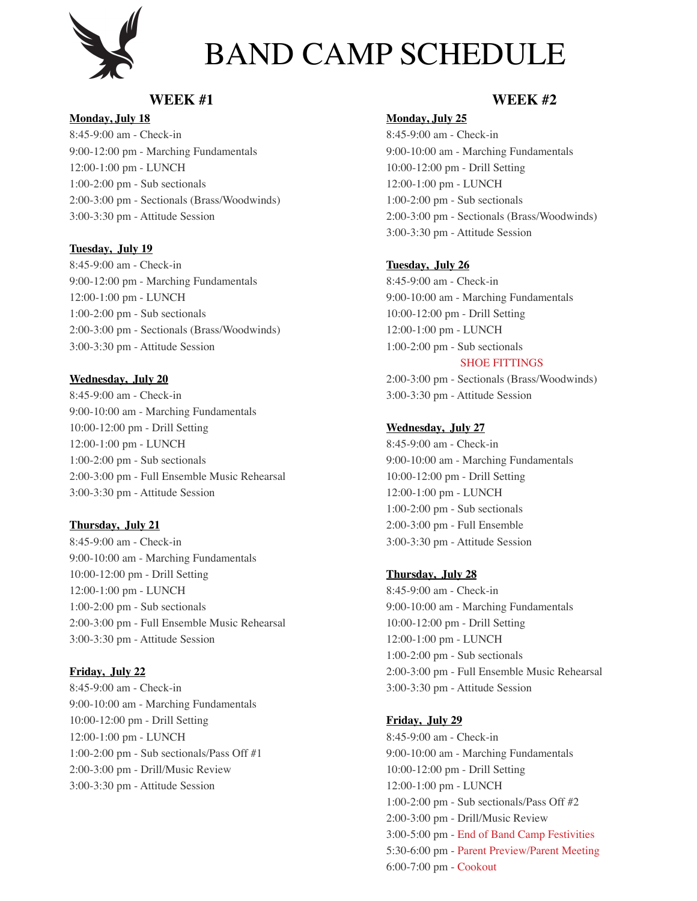

## BAND CAMP SCHEDULE

#### **WEEK #1**

#### **Monday, July 18**

8:45-9:00 am - Check-in 9:00-12:00 pm - Marching Fundamentals 12:00-1:00 pm - LUNCH 1:00-2:00 pm - Sub sectionals 2:00-3:00 pm - Sectionals (Brass/Woodwinds) 3:00-3:30 pm - Attitude Session

#### **Tuesday, July 19**

8:45-9:00 am - Check-in 9:00-12:00 pm - Marching Fundamentals 12:00-1:00 pm - LUNCH 1:00-2:00 pm - Sub sectionals 2:00-3:00 pm - Sectionals (Brass/Woodwinds) 3:00-3:30 pm - Attitude Session

#### **Wednesday, July 20**

8:45-9:00 am - Check-in 9:00-10:00 am - Marching Fundamentals 10:00-12:00 pm - Drill Setting 12:00-1:00 pm - LUNCH 1:00-2:00 pm - Sub sectionals 2:00-3:00 pm - Full Ensemble Music Rehearsal 3:00-3:30 pm - Attitude Session

#### **Thursday, July 21**

8:45-9:00 am - Check-in 9:00-10:00 am - Marching Fundamentals 10:00-12:00 pm - Drill Setting 12:00-1:00 pm - LUNCH 1:00-2:00 pm - Sub sectionals 2:00-3:00 pm - Full Ensemble Music Rehearsal 3:00-3:30 pm - Attitude Session

#### **Friday, July 22**

8:45-9:00 am - Check-in 9:00-10:00 am - Marching Fundamentals 10:00-12:00 pm - Drill Setting 12:00-1:00 pm - LUNCH 1:00-2:00 pm - Sub sectionals/Pass Off #1 2:00-3:00 pm - Drill/Music Review 3:00-3:30 pm - Attitude Session

#### **WEEK #2**

#### **Monday, July 25**

8:45-9:00 am - Check-in 9:00-10:00 am - Marching Fundamentals 10:00-12:00 pm - Drill Setting 12:00-1:00 pm - LUNCH 1:00-2:00 pm - Sub sectionals 2:00-3:00 pm - Sectionals (Brass/Woodwinds) 3:00-3:30 pm - Attitude Session

#### **Tuesday, July 26**

8:45-9:00 am - Check-in 9:00-10:00 am - Marching Fundamentals 10:00-12:00 pm - Drill Setting 12:00-1:00 pm - LUNCH 1:00-2:00 pm - Sub sectionals

#### SHOE FITTINGS

2:00-3:00 pm - Sectionals (Brass/Woodwinds) 3:00-3:30 pm - Attitude Session

#### **Wednesday, July 27**

8:45-9:00 am - Check-in 9:00-10:00 am - Marching Fundamentals 10:00-12:00 pm - Drill Setting 12:00-1:00 pm - LUNCH 1:00-2:00 pm - Sub sectionals 2:00-3:00 pm - Full Ensemble 3:00-3:30 pm - Attitude Session

#### **Thursday, July 28**

8:45-9:00 am - Check-in 9:00-10:00 am - Marching Fundamentals 10:00-12:00 pm - Drill Setting 12:00-1:00 pm - LUNCH 1:00-2:00 pm - Sub sectionals 2:00-3:00 pm - Full Ensemble Music Rehearsal 3:00-3:30 pm - Attitude Session

#### **Friday, July 29**

8:45-9:00 am - Check-in 9:00-10:00 am - Marching Fundamentals 10:00-12:00 pm - Drill Setting 12:00-1:00 pm - LUNCH 1:00-2:00 pm - Sub sectionals/Pass Off #2 2:00-3:00 pm - Drill/Music Review 3:00-5:00 pm - End of Band Camp Festivities 5:30-6:00 pm - Parent Preview/Parent Meeting 6:00-7:00 pm - Cookout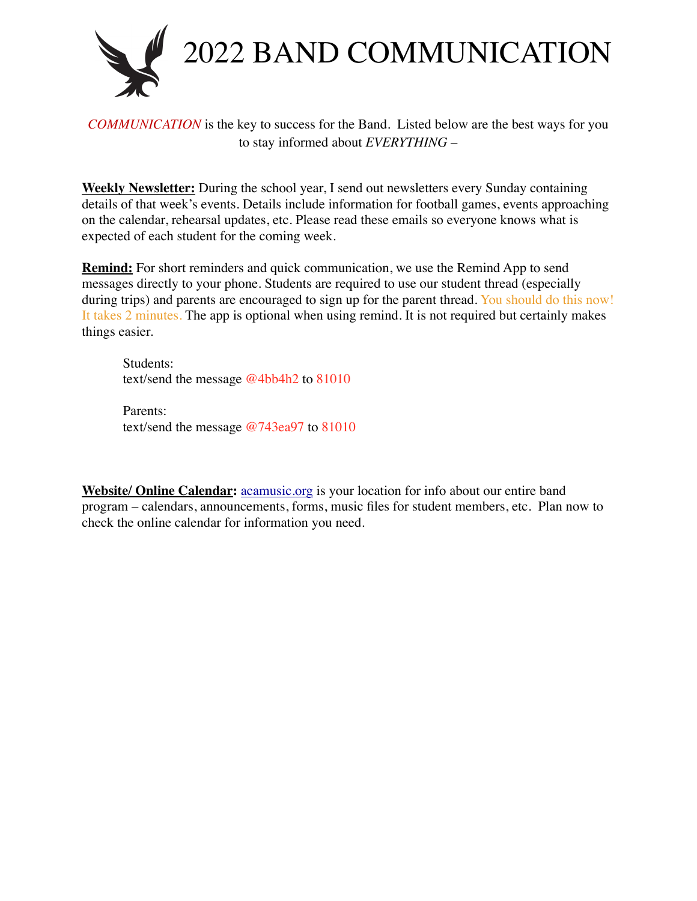

2022 BAND COMMUNICATION

*COMMUNICATION* is the key to success for the Band. Listed below are the best ways for you to stay informed about *EVERYTHING* –

**Weekly Newsletter:** During the school year, I send out newsletters every Sunday containing details of that week's events. Details include information for football games, events approaching on the calendar, rehearsal updates, etc. Please read these emails so everyone knows what is expected of each student for the coming week.

**Remind:** For short reminders and quick communication, we use the Remind App to send messages directly to your phone. Students are required to use our student thread (especially during trips) and parents are encouraged to sign up for the parent thread. You should do this now! It takes 2 minutes. The app is optional when using remind. It is not required but certainly makes things easier.

Students: text/send the message @4bb4h2 to 81010

Parents: text/send the message @743ea97 to 81010

**Website/ Online Calendar:** [acamusic.org](http://acamusic.org) is your location for info about our entire band program – calendars, announcements, forms, music files for student members, etc. Plan now to check the online calendar for information you need.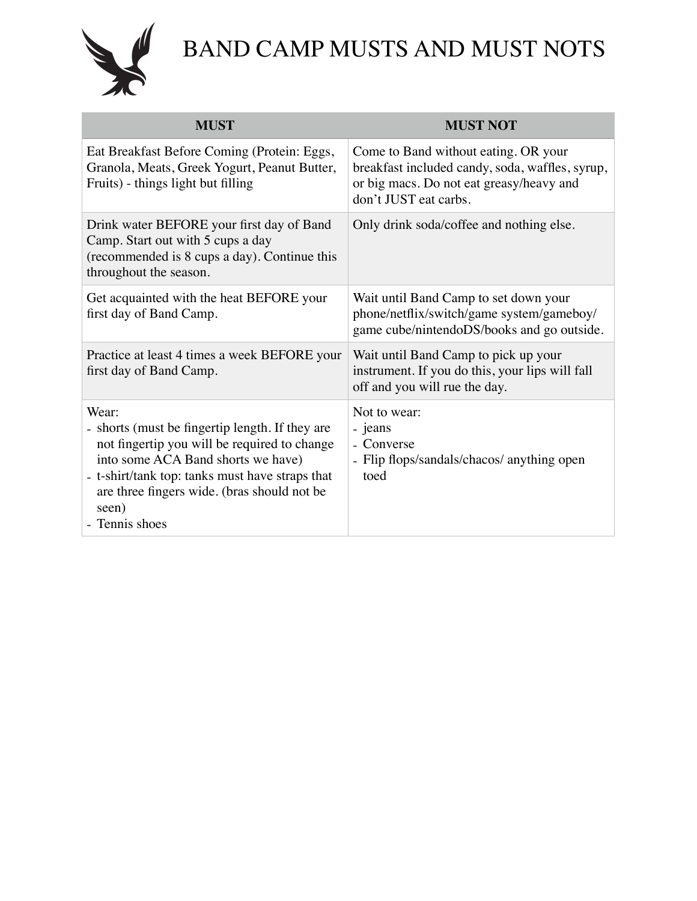

# BAND CAMP MUSTS AND MUST NOTS

| <b>MUST</b>                                                                                                                                                                                                                                                                 | <b>MUST NOT</b>                                                                                                                                              |
|-----------------------------------------------------------------------------------------------------------------------------------------------------------------------------------------------------------------------------------------------------------------------------|--------------------------------------------------------------------------------------------------------------------------------------------------------------|
| Eat Breakfast Before Coming (Protein: Eggs,<br>Granola, Meats, Greek Yogurt, Peanut Butter,<br>Fruits) - things light but filling                                                                                                                                           | Come to Band without eating. OR your<br>breakfast included candy, soda, waffles, syrup,<br>or big macs. Do not eat greasy/heavy and<br>don't JUST eat carbs. |
| Drink water BEFORE your first day of Band<br>Camp. Start out with 5 cups a day<br>(recommended is 8 cups a day). Continue this<br>throughout the season.                                                                                                                    | Only drink soda/coffee and nothing else.                                                                                                                     |
| Get acquainted with the heat BEFORE your<br>first day of Band Camp.                                                                                                                                                                                                         | Wait until Band Camp to set down your<br>phone/netflix/switch/game system/gameboy/<br>game cube/nintendoDS/books and go outside.                             |
| Practice at least 4 times a week BEFORE your<br>first day of Band Camp.                                                                                                                                                                                                     | Wait until Band Camp to pick up your<br>instrument. If you do this, your lips will fall<br>off and you will rue the day.                                     |
| Wear:<br>- shorts (must be fingertip length. If they are<br>not fingertip you will be required to change<br>into some ACA Band shorts we have)<br>- t-shirt/tank top: tanks must have straps that<br>are three fingers wide. (bras should not be<br>seen)<br>- Tennis shoes | Not to wear:<br>- jeans<br>- Converse<br>- Flip flops/sandals/chacos/ anything open<br>toed                                                                  |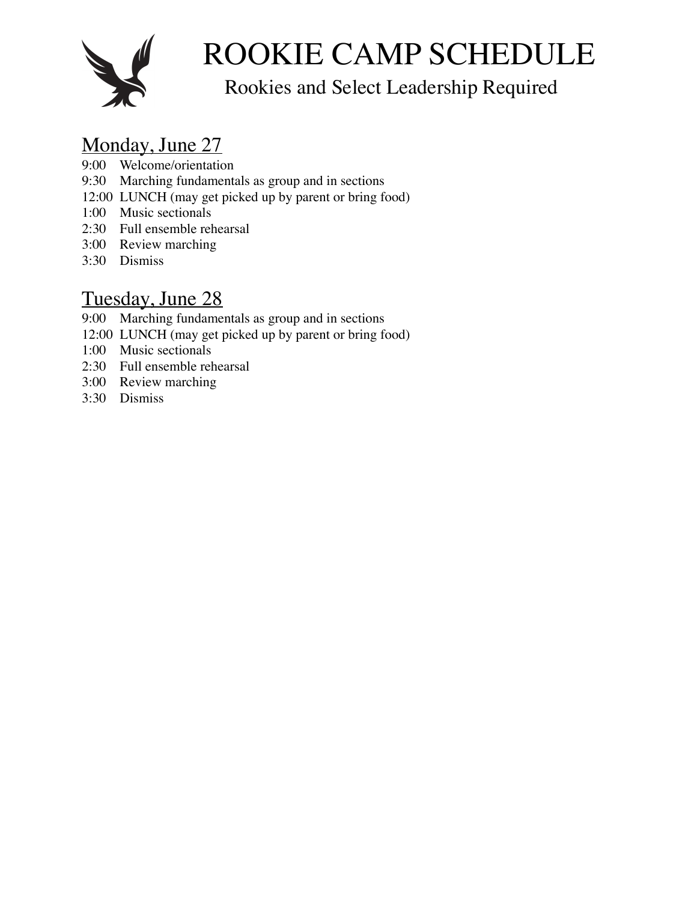

# ROOKIE CAMP SCHEDULE

## Rookies and Select Leadership Required

## Monday, June 27

- 9:00 Welcome/orientation
- 9:30 Marching fundamentals as group and in sections
- 12:00 LUNCH (may get picked up by parent or bring food)
- 1:00 Music sectionals
- 2:30 Full ensemble rehearsal
- 3:00 Review marching
- 3:30 Dismiss

#### Tuesday, June 28

- 9:00 Marching fundamentals as group and in sections
- 12:00 LUNCH (may get picked up by parent or bring food)
- 1:00 Music sectionals
- 2:30 Full ensemble rehearsal
- 3:00 Review marching
- 3:30 Dismiss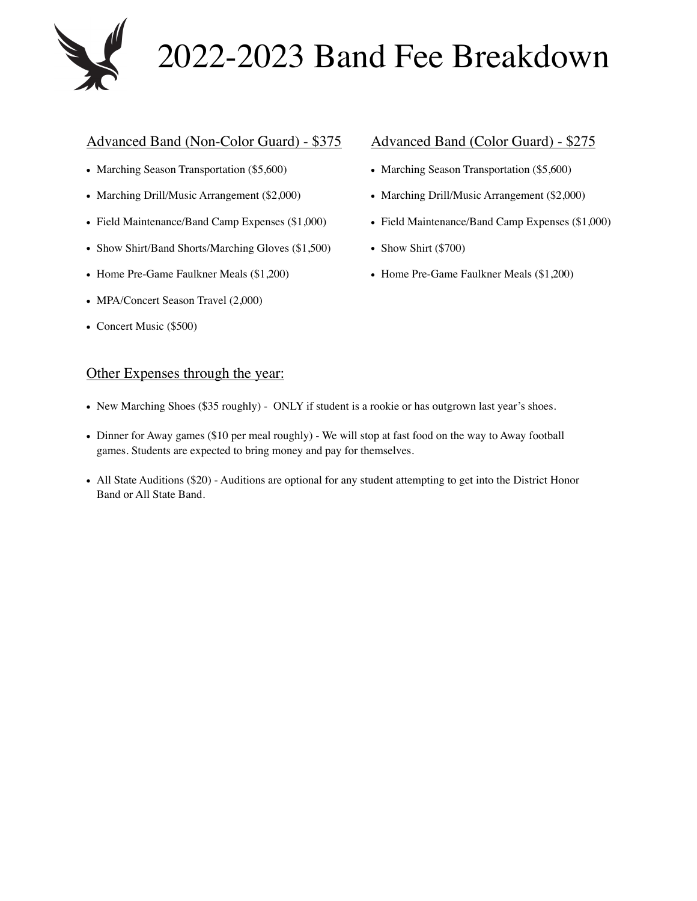# 2022-2023 Band Fee Breakdown

#### Advanced Band (Non-Color Guard) - \$375

- Marching Season Transportation (\$5,600)
- Marching Drill/Music Arrangement (\$2,000)
- Field Maintenance/Band Camp Expenses (\$1,000)
- Show Shirt/Band Shorts/Marching Gloves (\$1,500)
- Home Pre-Game Faulkner Meals (\$1,200)
- MPA/Concert Season Travel (2,000)
- Concert Music (\$500)

#### Advanced Band (Color Guard) - \$275

- Marching Season Transportation (\$5,600)
- Marching Drill/Music Arrangement (\$2,000)
- Field Maintenance/Band Camp Expenses (\$1,000)
- Show Shirt (\$700)
- Home Pre-Game Faulkner Meals (\$1,200)

#### Other Expenses through the year:

- New Marching Shoes (\$35 roughly) ONLY if student is a rookie or has outgrown last year's shoes.
- Dinner for Away games (\$10 per meal roughly) We will stop at fast food on the way to Away football games. Students are expected to bring money and pay for themselves.
- All State Auditions (\$20) Auditions are optional for any student attempting to get into the District Honor Band or All State Band.